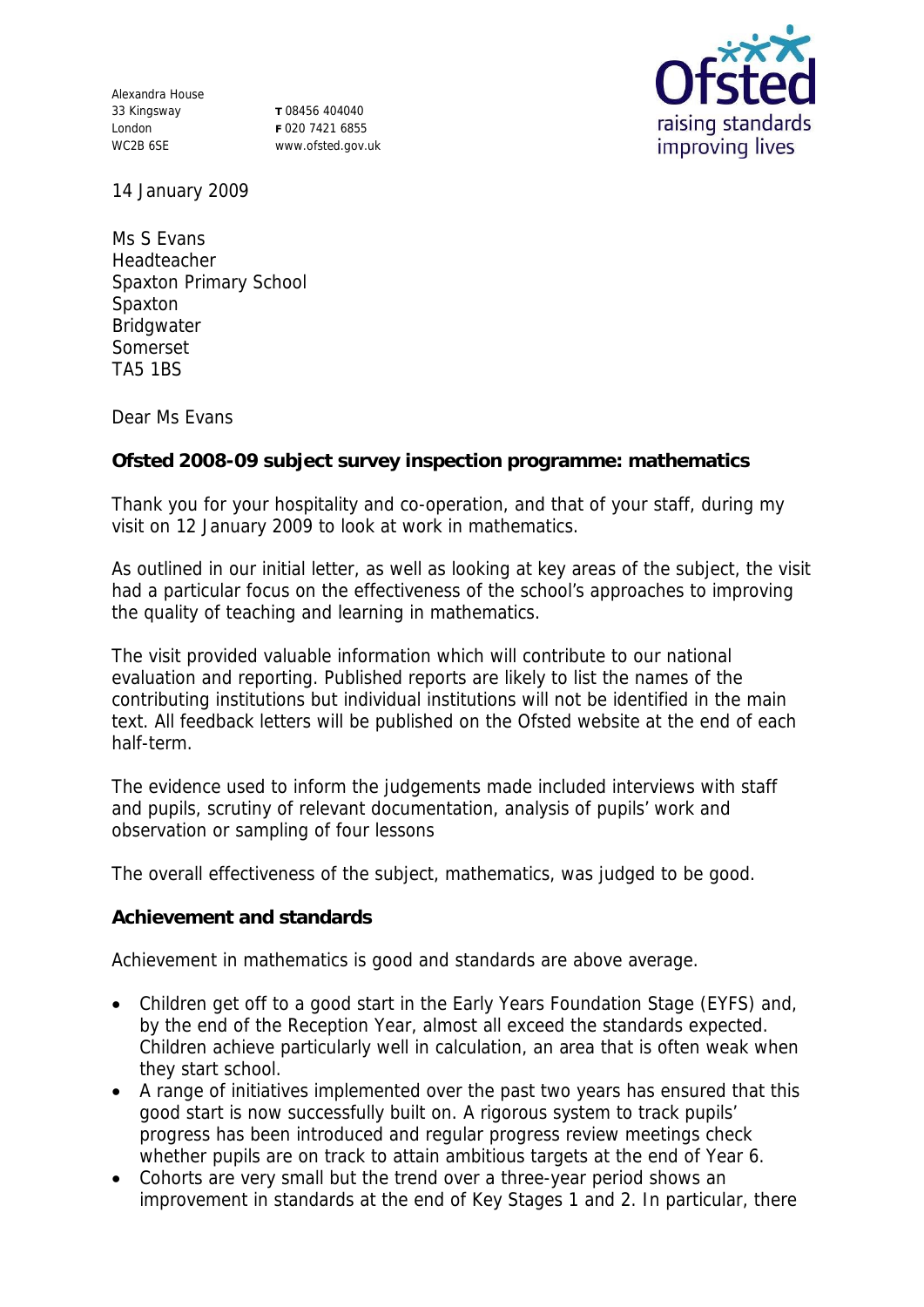Alexandra House 33 Kingsway London WC2B 6SE

**T** 08456 404040 **F** 020 7421 6855 www.ofsted.gov.uk



14 January 2009

Ms S Evans Headteacher Spaxton Primary School Spaxton Bridgwater Somerset TA5 1BS

Dear Ms Evans

**Ofsted 2008-09 subject survey inspection programme: mathematics**

Thank you for your hospitality and co-operation, and that of your staff, during my visit on 12 January 2009 to look at work in mathematics.

As outlined in our initial letter, as well as looking at key areas of the subject, the visit had a particular focus on the effectiveness of the school's approaches to improving the quality of teaching and learning in mathematics.

The visit provided valuable information which will contribute to our national evaluation and reporting. Published reports are likely to list the names of the contributing institutions but individual institutions will not be identified in the main text. All feedback letters will be published on the Ofsted website at the end of each half-term.

The evidence used to inform the judgements made included interviews with staff and pupils, scrutiny of relevant documentation, analysis of pupils' work and observation or sampling of four lessons

The overall effectiveness of the subject, mathematics, was judged to be good.

**Achievement and standards**

Achievement in mathematics is good and standards are above average.

- Children get off to a good start in the Early Years Foundation Stage (EYFS) and, by the end of the Reception Year, almost all exceed the standards expected. Children achieve particularly well in calculation, an area that is often weak when they start school.
- A range of initiatives implemented over the past two years has ensured that this good start is now successfully built on. A rigorous system to track pupils' progress has been introduced and regular progress review meetings check whether pupils are on track to attain ambitious targets at the end of Year 6.
- Cohorts are very small but the trend over a three-year period shows an improvement in standards at the end of Key Stages 1 and 2. In particular, there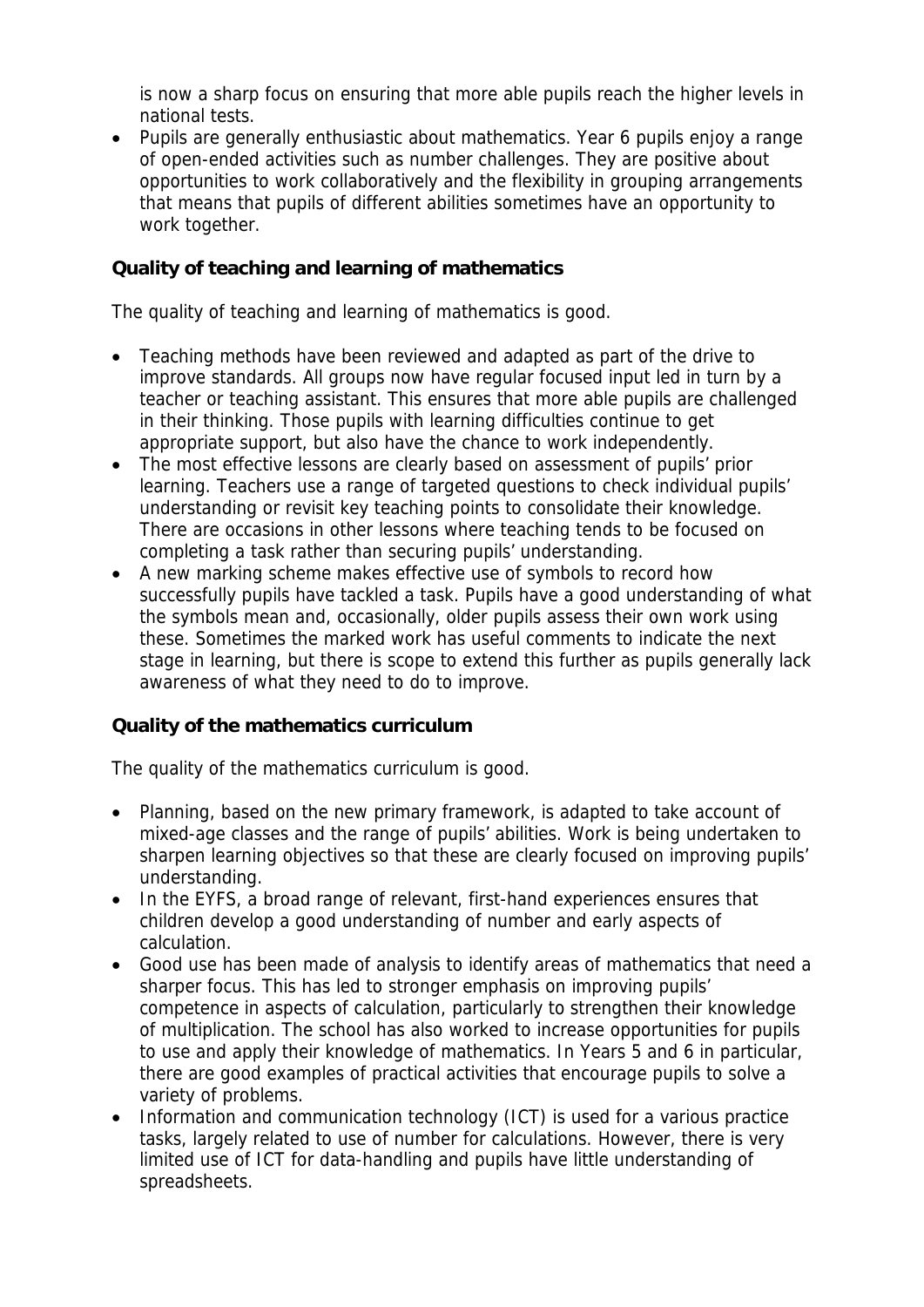is now a sharp focus on ensuring that more able pupils reach the higher levels in national tests.

 Pupils are generally enthusiastic about mathematics. Year 6 pupils enjoy a range of open-ended activities such as number challenges. They are positive about opportunities to work collaboratively and the flexibility in grouping arrangements that means that pupils of different abilities sometimes have an opportunity to work together.

## **Quality of teaching and learning of mathematics**

The quality of teaching and learning of mathematics is good.

- Teaching methods have been reviewed and adapted as part of the drive to improve standards. All groups now have regular focused input led in turn by a teacher or teaching assistant. This ensures that more able pupils are challenged in their thinking. Those pupils with learning difficulties continue to get appropriate support, but also have the chance to work independently.
- The most effective lessons are clearly based on assessment of pupils' prior learning. Teachers use a range of targeted questions to check individual pupils' understanding or revisit key teaching points to consolidate their knowledge. There are occasions in other lessons where teaching tends to be focused on completing a task rather than securing pupils' understanding.
- A new marking scheme makes effective use of symbols to record how successfully pupils have tackled a task. Pupils have a good understanding of what the symbols mean and, occasionally, older pupils assess their own work using these. Sometimes the marked work has useful comments to indicate the next stage in learning, but there is scope to extend this further as pupils generally lack awareness of what they need to do to improve.

## **Quality of the mathematics curriculum**

The quality of the mathematics curriculum is good.

- Planning, based on the new primary framework, is adapted to take account of mixed-age classes and the range of pupils' abilities. Work is being undertaken to sharpen learning objectives so that these are clearly focused on improving pupils' understanding.
- In the EYFS, a broad range of relevant, first-hand experiences ensures that children develop a good understanding of number and early aspects of calculation.
- Good use has been made of analysis to identify areas of mathematics that need a sharper focus. This has led to stronger emphasis on improving pupils' competence in aspects of calculation, particularly to strengthen their knowledge of multiplication. The school has also worked to increase opportunities for pupils to use and apply their knowledge of mathematics. In Years 5 and 6 in particular, there are good examples of practical activities that encourage pupils to solve a variety of problems.
- Information and communication technology (ICT) is used for a various practice tasks, largely related to use of number for calculations. However, there is very limited use of ICT for data-handling and pupils have little understanding of spreadsheets.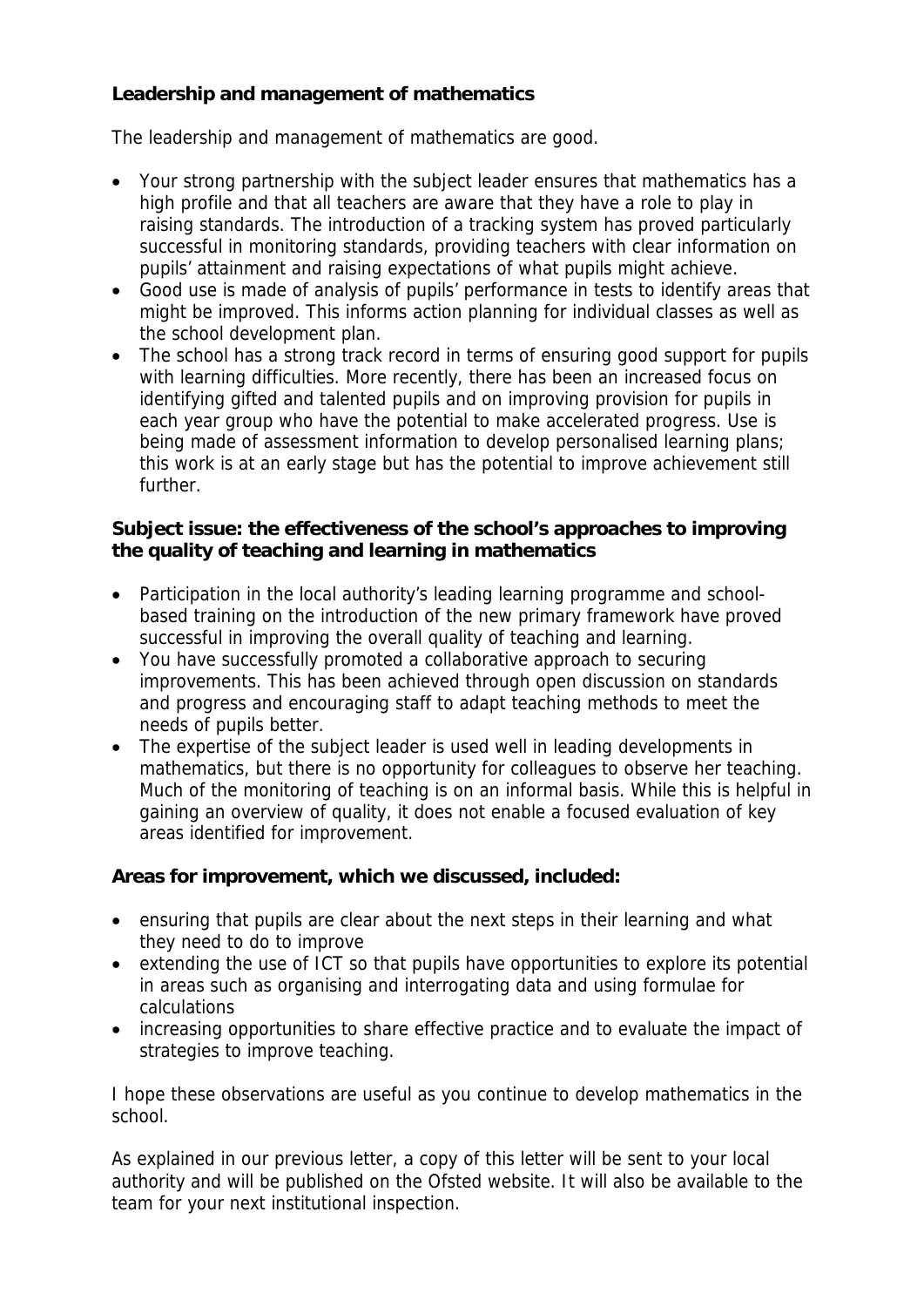## **Leadership and management of mathematics**

The leadership and management of mathematics are good.

- Your strong partnership with the subject leader ensures that mathematics has a high profile and that all teachers are aware that they have a role to play in raising standards. The introduction of a tracking system has proved particularly successful in monitoring standards, providing teachers with clear information on pupils' attainment and raising expectations of what pupils might achieve.
- Good use is made of analysis of pupils' performance in tests to identify areas that might be improved. This informs action planning for individual classes as well as the school development plan.
- The school has a strong track record in terms of ensuring good support for pupils with learning difficulties. More recently, there has been an increased focus on identifying gifted and talented pupils and on improving provision for pupils in each year group who have the potential to make accelerated progress. Use is being made of assessment information to develop personalised learning plans; this work is at an early stage but has the potential to improve achievement still further.

**Subject issue: the effectiveness of the school's approaches to improving the quality of teaching and learning in mathematics**

- Participation in the local authority's leading learning programme and schoolbased training on the introduction of the new primary framework have proved successful in improving the overall quality of teaching and learning.
- You have successfully promoted a collaborative approach to securing improvements. This has been achieved through open discussion on standards and progress and encouraging staff to adapt teaching methods to meet the needs of pupils better.
- The expertise of the subject leader is used well in leading developments in mathematics, but there is no opportunity for colleagues to observe her teaching. Much of the monitoring of teaching is on an informal basis. While this is helpful in gaining an overview of quality, it does not enable a focused evaluation of key areas identified for improvement.

**Areas for improvement, which we discussed, included:**

- ensuring that pupils are clear about the next steps in their learning and what they need to do to improve
- extending the use of ICT so that pupils have opportunities to explore its potential in areas such as organising and interrogating data and using formulae for calculations
- increasing opportunities to share effective practice and to evaluate the impact of strategies to improve teaching.

I hope these observations are useful as you continue to develop mathematics in the school.

As explained in our previous letter, a copy of this letter will be sent to your local authority and will be published on the Ofsted website. It will also be available to the team for your next institutional inspection.